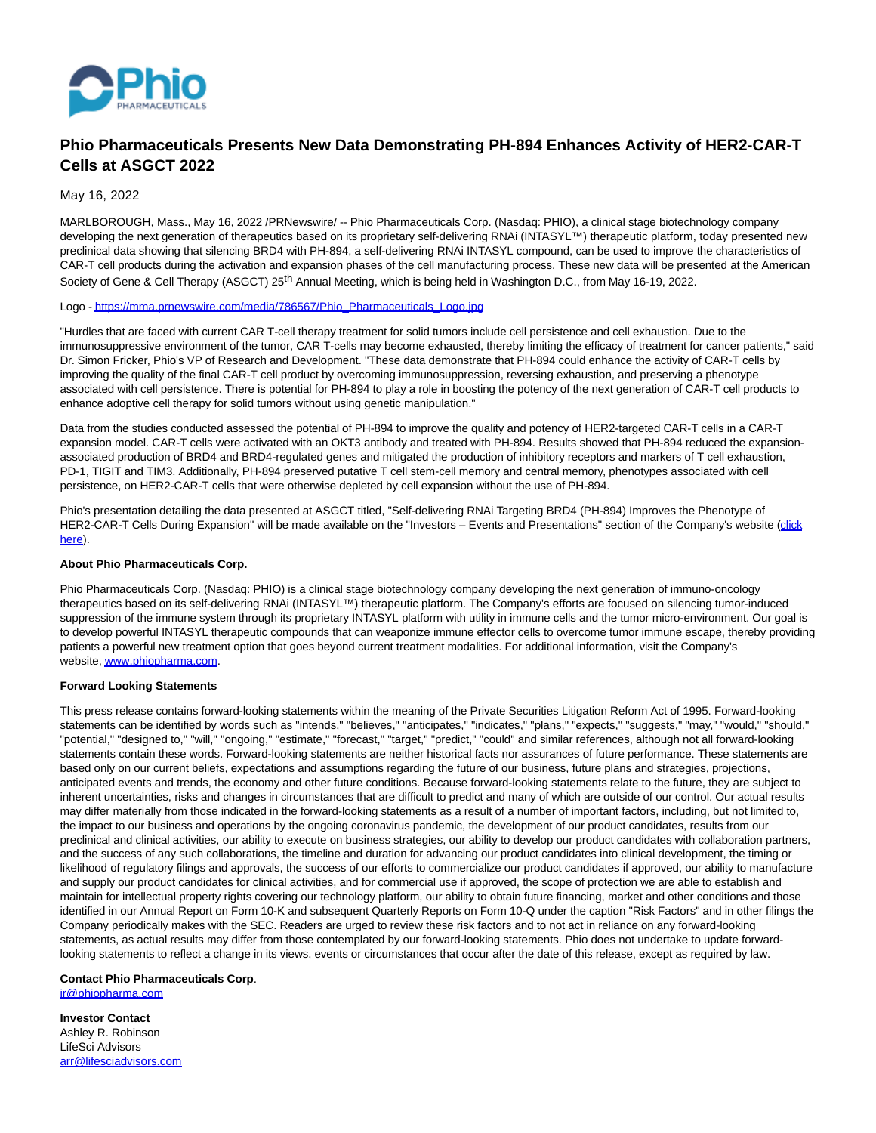

## **Phio Pharmaceuticals Presents New Data Demonstrating PH-894 Enhances Activity of HER2-CAR-T Cells at ASGCT 2022**

May 16, 2022

MARLBOROUGH, Mass., May 16, 2022 /PRNewswire/ -- Phio Pharmaceuticals Corp. (Nasdaq: PHIO), a clinical stage biotechnology company developing the next generation of therapeutics based on its proprietary self-delivering RNAi (INTASYL™) therapeutic platform, today presented new preclinical data showing that silencing BRD4 with PH-894, a self-delivering RNAi INTASYL compound, can be used to improve the characteristics of CAR-T cell products during the activation and expansion phases of the cell manufacturing process. These new data will be presented at the American Society of Gene & Cell Therapy (ASGCT) 25<sup>th</sup> Annual Meeting, which is being held in Washington D.C., from May 16-19, 2022.

## Logo [- https://mma.prnewswire.com/media/786567/Phio\\_Pharmaceuticals\\_Logo.jpg](https://c212.net/c/link/?t=0&l=en&o=3536723-1&h=3297671620&u=https%3A%2F%2Fmma.prnewswire.com%2Fmedia%2F786567%2FPhio_Pharmaceuticals_Logo.jpg&a=https%3A%2F%2Fmma.prnewswire.com%2Fmedia%2F786567%2FPhio_Pharmaceuticals_Logo.jpg)

"Hurdles that are faced with current CAR T-cell therapy treatment for solid tumors include cell persistence and cell exhaustion. Due to the immunosuppressive environment of the tumor, CAR T-cells may become exhausted, thereby limiting the efficacy of treatment for cancer patients," said Dr. Simon Fricker, Phio's VP of Research and Development. "These data demonstrate that PH-894 could enhance the activity of CAR-T cells by improving the quality of the final CAR-T cell product by overcoming immunosuppression, reversing exhaustion, and preserving a phenotype associated with cell persistence. There is potential for PH-894 to play a role in boosting the potency of the next generation of CAR-T cell products to enhance adoptive cell therapy for solid tumors without using genetic manipulation."

Data from the studies conducted assessed the potential of PH-894 to improve the quality and potency of HER2-targeted CAR-T cells in a CAR-T expansion model. CAR-T cells were activated with an OKT3 antibody and treated with PH-894. Results showed that PH-894 reduced the expansionassociated production of BRD4 and BRD4-regulated genes and mitigated the production of inhibitory receptors and markers of T cell exhaustion, PD-1, TIGIT and TIM3. Additionally, PH-894 preserved putative T cell stem-cell memory and central memory, phenotypes associated with cell persistence, on HER2-CAR-T cells that were otherwise depleted by cell expansion without the use of PH-894.

Phio's presentation detailing the data presented at ASGCT titled, "Self-delivering RNAi Targeting BRD4 (PH-894) Improves the Phenotype of HER2-CAR-T Cells During Expansion" will be made available on the "Investors – Events and Presentations" section of the Company's website [\(click](https://c212.net/c/link/?t=0&l=en&o=3536723-1&h=3690460825&u=https%3A%2F%2Fc212.net%2Fc%2Flink%2F%3Ft%3D0%26l%3Den%26o%3D3315172-1%26h%3D3315455396%26u%3Dhttp%253A%252F%252Finvestors.phiopharma.com%252Fevents-and-presentations%252Fevents%26a%3Dclick%2Bhere)&a=click+here) here).

## **About Phio Pharmaceuticals Corp.**

Phio Pharmaceuticals Corp. (Nasdaq: PHIO) is a clinical stage biotechnology company developing the next generation of immuno-oncology therapeutics based on its self-delivering RNAi (INTASYL™) therapeutic platform. The Company's efforts are focused on silencing tumor-induced suppression of the immune system through its proprietary INTASYL platform with utility in immune cells and the tumor micro-environment. Our goal is to develop powerful INTASYL therapeutic compounds that can weaponize immune effector cells to overcome tumor immune escape, thereby providing patients a powerful new treatment option that goes beyond current treatment modalities. For additional information, visit the Company's website[, www.phiopharma.com.](https://c212.net/c/link/?t=0&l=en&o=3536723-1&h=2448028151&u=https%3A%2F%2Fc212.net%2Fc%2Flink%2F%3Ft%3D0%26l%3Den%26o%3D3407839-1%26h%3D2479359714%26u%3Dhttp%253A%252F%252Fwww.phiopharma.com%252F%26a%3Dwww.phiopharma.com&a=www.phiopharma.com)

## **Forward Looking Statements**

This press release contains forward-looking statements within the meaning of the Private Securities Litigation Reform Act of 1995. Forward-looking statements can be identified by words such as "intends," "believes," "anticipates," "indicates," "plans," "expects," "suggests," "may," "would," "should," "potential," "designed to," "will," "ongoing," "estimate," "forecast," "target," "predict," "could" and similar references, although not all forward-looking statements contain these words. Forward-looking statements are neither historical facts nor assurances of future performance. These statements are based only on our current beliefs, expectations and assumptions regarding the future of our business, future plans and strategies, projections, anticipated events and trends, the economy and other future conditions. Because forward-looking statements relate to the future, they are subject to inherent uncertainties, risks and changes in circumstances that are difficult to predict and many of which are outside of our control. Our actual results may differ materially from those indicated in the forward-looking statements as a result of a number of important factors, including, but not limited to, the impact to our business and operations by the ongoing coronavirus pandemic, the development of our product candidates, results from our preclinical and clinical activities, our ability to execute on business strategies, our ability to develop our product candidates with collaboration partners, and the success of any such collaborations, the timeline and duration for advancing our product candidates into clinical development, the timing or likelihood of regulatory filings and approvals, the success of our efforts to commercialize our product candidates if approved, our ability to manufacture and supply our product candidates for clinical activities, and for commercial use if approved, the scope of protection we are able to establish and maintain for intellectual property rights covering our technology platform, our ability to obtain future financing, market and other conditions and those identified in our Annual Report on Form 10-K and subsequent Quarterly Reports on Form 10-Q under the caption "Risk Factors" and in other filings the Company periodically makes with the SEC. Readers are urged to review these risk factors and to not act in reliance on any forward-looking statements, as actual results may differ from those contemplated by our forward-looking statements. Phio does not undertake to update forwardlooking statements to reflect a change in its views, events or circumstances that occur after the date of this release, except as required by law.

**Contact Phio Pharmaceuticals Corp**.

[ir@phiopharma.com](mailto:ir@phiopharma.com)

**Investor Contact** Ashley R. Robinson LifeSci Advisors [arr@lifesciadvisors.com](mailto:arr@lifesciadvisors.com)